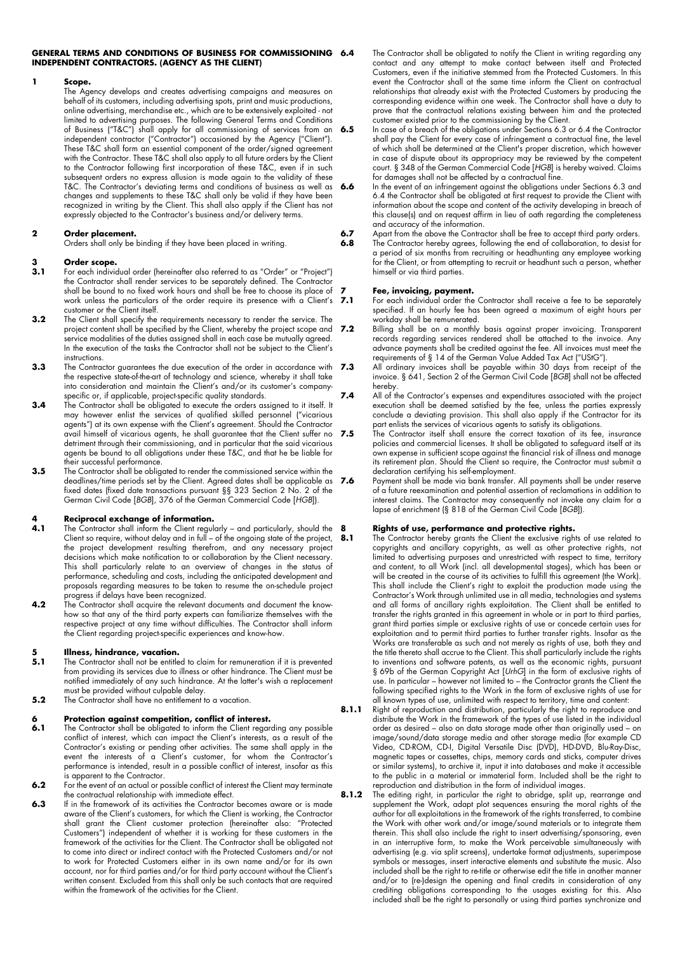#### **GENERAL TERMS AND CONDITIONS OF BUSINESS FOR COMMISSIONING INDEPENDENT CONTRACTORS. (AGENCY AS THE CLIENT)**

#### **1 Scope.**

The Agency develops and creates advertising campaigns and measures on behalf of its customers, including advertising spots, print and music productions, online advertising, merchandise etc., which are to be extensively exploited - not limited to advertising purposes. The following General Terms and Conditions of Business ("T&C") shall apply for all commissioning of services from an independent contractor ("Contractor") occasioned by the Agency ("Client"). These T&C shall form an essential component of the order/signed agreement with the Contractor. These T&C shall also apply to all future orders by the Client to the Contractor following first incorporation of these T&C, even if in such subsequent orders no express allusion is made again to the validity of these T&C. The Contractor's deviating terms and conditions of business as well as changes and supplements to these T&C shall only be valid if they have been recognized in writing by the Client. This shall also apply if the Client has not expressly objected to the Contractor's business and/or delivery terms.

### **2 Order placement.**

Orders shall only be binding if they have been placed in writing.

### **3 Order scope.**

- **3.1** For each individual order (hereinafter also referred to as "Order" or "Project") the Contractor shall render services to be separately defined. The Contractor shall be bound to no fixed work hours and shall be free to choose its place of work unless the particulars of the order require its presence with a Client's 7.1 customer or the Client itself.
- **3.2** The Client shall specify the requirements necessary to render the service. The project content shall be specified by the Client, whereby the project scope and service modalities of the duties assigned shall in each case be mutually agreed. In the execution of the tasks the Contractor shall not be subject to the Client's instructions.
- **3.3** The Contractor guarantees the due execution of the order in accordance with 7.3 the respective state-of-the-art of technology and science, whereby it shall take into consideration and maintain the Client's and/or its customer's companyspecific or, if applicable, project-specific quality standards.
- **3.4** The Contractor shall be obligated to execute the orders assigned to it itself. It may however enlist the services of qualified skilled personnel ("vicarious agents") at its own expense with the Client's agreement. Should the Contractor avail himself of vicarious agents, he shall guarantee that the Client suffer no 7.5 detriment through their commissioning, and in particular that the said vicarious agents be bound to all obligations under these T&C, and that he be liable for their successful performance.
- **3.5** The Contractor shall be obligated to render the commissioned service within the deadlines/time periods set by the Client. Agreed dates shall be applicable as 7.6 fixed dates (fixed date transactions pursuant §§ 323 Section 2 No. 2 of the German Civil Code [*BGB*], 376 of the German Commercial Code [*HGB*]).

# **4 Reciprocal exchange of information.**

- **4.1** The Contractor shall inform the Client regularly and particularly, should the Client so require, without delay and in full – of the ongoing state of the project, the project development resulting therefrom, and any necessary project decisions which make notification to or collaboration by the Client necessary. This shall particularly relate to an overview of changes in the status of performance, scheduling and costs, including the anticipated development and proposals regarding measures to be taken to resume the on-schedule project progress if delays have been recognized.
- **4.2** The Contractor shall acquire the relevant documents and document the knowhow so that any of the third party experts can familiarize themselves with the respective project at any time without difficulties. The Contractor shall inform the Client regarding project-specific experiences and know-how.

# **5 Illness, hindrance, vacation.**<br>**5.1** The Contractor shall not be entitled

- **5.1** The Contractor shall not be entitled to claim for remuneration if it is prevented from providing its services due to illness or other hindrance. The Client must be notified immediately of any such hindrance. At the latter's wish a replacement must be provided without culpable delay.
- **5.2** The Contractor shall have no entitlement to a vacation.

# **6 <b>Protection against competition, conflict of interest.**<br>**6.1** The Contractor shall be obligated to inform the Client regare

- **6.1** The Contractor shall be obligated to inform the Client regarding any possible conflict of interest, which can impact the Client's interests, as a result of the Contractor's existing or pending other activities. The same shall apply in the event the interests of a Client's customer, for whom the Contractor's performance is intended, result in a possible conflict of interest, insofar as this is apparent to the Contractor.
- **6.2** For the event of an actual or possible conflict of interest the Client may terminate the contractual relationship with immediate effect.
- **6.3** If in the framework of its activities the Contractor becomes aware or is made aware of the Client's customers, for which the Client is working, the Contractor shall grant the Client customer protection (hereinafter also: "Protected Customers") independent of whether it is working for these customers in the framework of the activities for the Client. The Contractor shall be obligated not to come into direct or indirect contact with the Protected Customers and/or not to work for Protected Customers either in its own name and/or for its own account, nor for third parties and/or for third party account without the Client's written consent. Excluded from this shall only be such contacts that are required within the framework of the activities for the Client.
- The Contractor shall be obligated to notify the Client in writing regarding any contact and any attempt to make contact between itself and Protected Customers, even if the initiative stemmed from the Protected Customers. In this event the Contractor shall at the same time inform the Client on contractual relationships that already exist with the Protected Customers by producing the corresponding evidence within one week. The Contractor shall have a duty to prove that the contractual relations existing between him and the protected customer existed prior to the commissioning by the Client.
- **6.5** In case of a breach of the obligations under Sections 6.3 or 6.4 the Contractor shall pay the Client for every case of infringement a contractual fine, the level of which shall be determined at the Client's proper discretion, which however in case of dispute about its appropriacy may be reviewed by the competent court. § 348 of the German Commercial Code [*HGB*] is hereby waived. Claims for damages shall not be affected by a contractual fine.
- **6.6** In the event of an infringement against the obligations under Sections 6.3 and 6.4 the Contractor shall be obligated at first request to provide the Client with information about the scope and content of the activity developing in breach of this clause(s) and on request affirm in lieu of oath regarding the completeness and accuracy of the information.
- **6.7** Apart from the above the Contractor shall be free to accept third party orders.<br>**6.8** The Contractor bereby garees, following the end of collaboration, to desist for The Contractor hereby agrees, following the end of collaboration, to desist for a period of six months from recruiting or headhunting any employee working for the Client, or from attempting to recruit or headhunt such a person, whether himself or via third parties.

### **7 Fee, invoicing, payment.**

- **7.1** For each individual order the Contractor shall receive a fee to be separately specified. If an hourly fee has been agreed a maximum of eight hours per workday shall be remunerated.
- **7.2** Billing shall be on a monthly basis against proper invoicing. Transparent records regarding services rendered shall be attached to the invoice. Any advance payments shall be credited against the fee. All invoices must meet the requirements of § 14 of the German Value Added Tax Act ("UStG").
- **7.3** All ordinary invoices shall be payable within 30 days from receipt of the invoice. § 641, Section 2 of the German Civil Code [*BGB*] shall not be affected hereby.
- **7.4** All of the Contractor's expenses and expenditures associated with the project execution shall be deemed satisfied by the fee, unless the parties expressly conclude a deviating provision. This shall also apply if the Contractor for its part enlists the services of vicarious agents to satisfy its obligations.
	- **7.5** The Contractor itself shall ensure the correct taxation of its fee, insurance policies and commercial licenses. It shall be obligated to safeguard itself at its own expense in sufficient scope against the financial risk of illness and manage its retirement plan. Should the Client so require, the Contractor must submit a declaration certifying his self-employment.
	- **7.6** Payment shall be made via bank transfer. All payments shall be under reserve of a future reexamination and potential assertion of reclamations in addition to interest claims. The Contractor may consequently not invoke any claim for a lapse of enrichment (§ 818 of the German Civil Code [*BGB*]).

### **8 Rights of use, performance and protective rights.**

**8.1** The Contractor hereby grants the Client the exclusive rights of use related to copyrights and ancillary copyrights, as well as other protective rights, not limited to advertising purposes and unrestricted with respect to time, territory and content, to all Work (incl. all developmental stages), which has been or will be created in the course of its activities to fulfill this agreement (the Work). This shall include the Client's right to exploit the production made using the Contractor's Work through unlimited use in all media, technologies and systems and all forms of ancillary rights exploitation. The Client shall be entitled to transfer the rights granted in this agreement in whole or in part to third parties, grant third parties simple or exclusive rights of use or concede certain uses for exploitation and to permit third parties to further transfer rights. Insofar as the Works are transferable as such and not merely as rights of use, both they and the title thereto shall accrue to the Client. This shall particularly include the rights to inventions and software patents, as well as the economic rights, pursuant § 69b of the German Copyright Act [*UrhG*] in the form of exclusive rights of use. In particular – however not limited to – the Contractor grants the Client the following specified rights to the Work in the form of exclusive rights of use for all known types of use, unlimited with respect to territory, time and content:

- **8.1.1** Right of reproduction and distribution, particularly the right to reproduce and distribute the Work in the framework of the types of use listed in the individual order as desired – also on data storage made other than originally used – on image/sound/data storage media and other storage media (for example CD Video, CD-ROM, CD-I, Digital Versatile Disc (DVD), HD-DVD, Blu-Ray-Disc, magnetic tapes or cassettes, chips, memory cards and sticks, computer drives or similar systems), to archive it, input it into databases and make it accessible to the public in a material or immaterial form. Included shall be the right to reproduction and distribution in the form of individual images.
- **8.1.2** The editing right, in particular the right to abridge, split up, rearrange and supplement the Work, adapt plot sequences ensuring the moral rights of the author for all exploitations in the framework of the rights transferred, to combine the Work with other work and/or image/sound materials or to integrate them therein. This shall also include the right to insert advertising/sponsoring, even in an interruptive form, to make the Work perceivable simultaneously with advertising (e.g. via split screens), undertake format adjustments, superimpose symbols or messages, insert interactive elements and substitute the music. Also included shall be the right to re-title or otherwise edit the title in another manner and/or to (re-)design the opening and final credits in consideration of any crediting obligations corresponding to the usages existing for this. Also included shall be the right to personally or using third parties synchronize and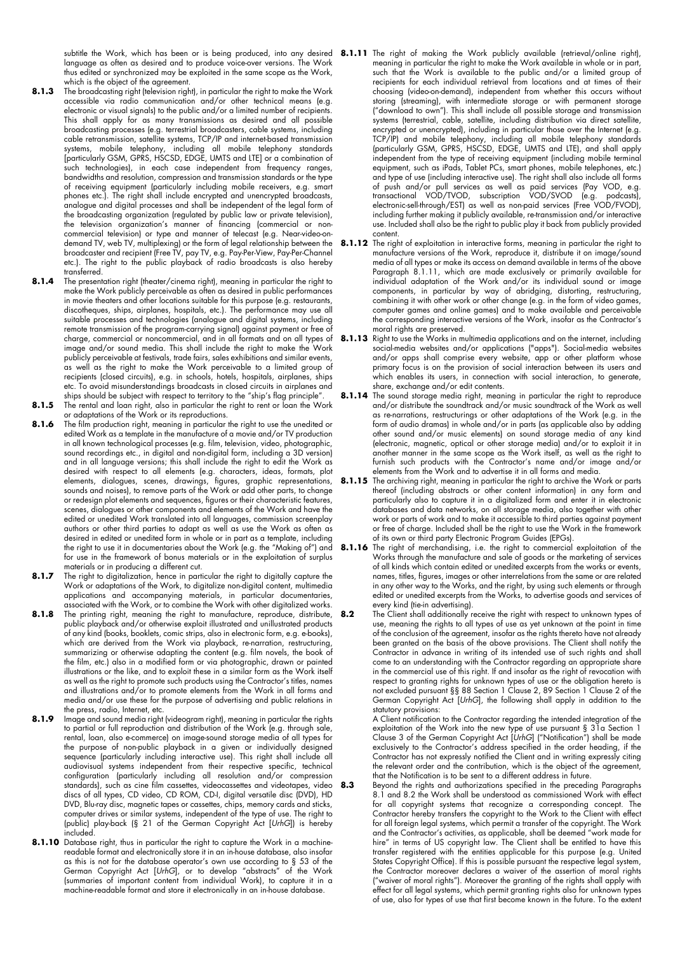language as often as desired and to produce voice-over versions. The Work thus edited or synchronized may be exploited in the same scope as the Work, which is the object of the agreement.

- **8.1.3** The broadcasting right (television right), in particular the right to make the Work accessible via radio communication and/or other technical means (e.g. electronic or visual signals) to the public and/or a limited number of recipients. This shall apply for as many transmissions as desired and all possible broadcasting processes (e.g. terrestrial broadcasters, cable systems, including cable retransmission, satellite systems, TCP/IP and internet-based transmission systems, mobile telephony, including all mobile telephony standards [particularly GSM, GPRS, HSCSD, EDGE, UMTS and LTE] or a combination of such technologies), in each case independent from frequency ranges, bandwidths and resolution, compression and transmission standards or the type of receiving equipment (particularly including mobile receivers, e.g. smart phones etc.). The right shall include encrypted and unencrypted broadcasts, analogue and digital processes and shall be independent of the legal form of the broadcasting organization (regulated by public law or private television), the television organization's manner of financing (commercial or noncommercial television) or type and manner of telecast (e.g. Near-video-ondemand TV, web TV, multiplexing) or the form of legal relationship between the broadcaster and recipient (Free TV, pay TV, e.g. Pay-Per-View, Pay-Per-Channel etc.). The right to the public playback of radio broadcasts is also hereby transferred.
- **8.1.4** The presentation right (theater/cinema right), meaning in particular the right to make the Work publicly perceivable as often as desired in public performances in movie theaters and other locations suitable for this purpose (e.g. restaurants, discotheques, ships, airplanes, hospitals, etc.). The performance may use all suitable processes and technologies (analogue and digital systems, including remote transmission of the program-carrying signal) against payment or free of charge, commercial or noncommercial, and in all formats and on all types of image and/or sound media. This shall include the right to make the Work publicly perceivable at festivals, trade fairs, sales exhibitions and similar events, as well as the right to make the Work perceivable to a limited group of recipients (closed circuits), e.g. in schools, hotels, hospitals, airplanes, ships etc. To avoid misunderstandings broadcasts in closed circuits in airplanes and ships should be subject with respect to territory to the "ship's flag principle".
- **8.1.5** The rental and loan right, also in particular the right to rent or loan the Work or adaptations of the Work or its reproductions.
- **8.1.6** The film production right, meaning in particular the right to use the unedited or edited Work as a template in the manufacture of a movie and/or TV production in all known technological processes (e.g. film, television, video, photographic, sound recordings etc., in digital and non-digital form, including a 3D version) and in all language versions; this shall include the right to edit the Work as desired with respect to all elements (e.g. characters, ideas, formats, plot elements, dialogues, scenes, drawings, figures, graphic representations, sounds and noises), to remove parts of the Work or add other parts, to change or redesign plot elements and sequences, figures or their characteristic features, scenes, dialogues or other components and elements of the Work and have the edited or unedited Work translated into all languages, commission screenplay authors or other third parties to adapt as well as use the Work as often as desired in edited or unedited form in whole or in part as a template, including the right to use it in documentaries about the Work (e.g. the "Making of") and for use in the framework of bonus materials or in the exploitation of surplus materials or in producing a different cut.
- 8.1.7 The right to digitalization, hence in particular the right to digitally capture the Work or adaptations of the Work, to digitalize non-digital content, multimedia applications and accompanying materials, in particular documentaries, associated with the Work, or to combine the Work with other digitalized works.
- 8.1.8 The printing right, meaning the right to manufacture, reproduce, distribute, public playback and/or otherwise exploit illustrated and unillustrated products of any kind (books, booklets, comic strips, also in electronic form, e.g. e-books), which are derived from the Work via playback, re-narration, restructuring, summarizing or otherwise adapting the content (e.g. film novels, the book of the film, etc.) also in a modified form or via photographic, drawn or painted illustrations or the like, and to exploit these in a similar form as the Work itself as well as the right to promote such products using the Contractor's titles, names and illustrations and/or to promote elements from the Work in all forms and media and/or use these for the purpose of advertising and public relations in the press, radio, Internet, etc.
- **8.1.9** Image and sound media right (videogram right), meaning in particular the rights to partial or full reproduction and distribution of the Work (e.g. through sale, rental, loan, also e-commerce) on image-sound storage media of all types for the purpose of non-public playback in a given or individually designed sequence (particularly including interactive use). This right shall include all audiovisual systems independent from their respective specific, technical configuration (particularly including all resolution and/or compression standards), such as cine film cassettes, videocassettes and videotapes, video discs of all types, CD video, CD ROM, CD-I, digital versatile disc (DVD), HD DVD, Blu-ray disc, magnetic tapes or cassettes, chips, memory cards and sticks, computer drives or similar systems, independent of the type of use. The right to (public) play-back (§ 21 of the German Copyright Act [*UrhG*]) is hereby included.
- 8.1.10 Database right, thus in particular the right to capture the Work in a machinereadable format and electronically store it in an in-house database, also insofar as this is not for the database operator's own use according to § 53 of the German Copyright Act [*UrhG*], or to develop "abstracts" of the Work (summaries of important content from individual Work), to capture it in a machine-readable format and store it electronically in an in-house database.
- subtitle the Work, which has been or is being produced, into any desired 8**.1.11** The right of making the Work publicly available (retrieval/online right), meaning in particular the right to make the Work available in whole or in part, such that the Work is available to the public and/or a limited group of recipients for each individual retrieval from locations and at times of their choosing (video-on-demand), independent from whether this occurs without storing (streaming), with intermediate storage or with permanent storage ("download to own"). This shall include all possible storage and transmission systems (terrestrial, cable, satellite, including distribution via direct satellite, encrypted or unencrypted), including in particular those over the Internet (e.g. TCP/IP) and mobile telephony, including all mobile telephony standards (particularly GSM, GPRS, HSCSD, EDGE, UMTS and LTE), and shall apply independent from the type of receiving equipment (including mobile terminal equipment, such as iPads, Tablet PCs, smart phones, mobile telephones, etc.) and type of use (including interactive use). The right shall also include all forms of push and/or pull services as well as paid services (Pay VOD, e.g. transactional VOD/TVOD, subscription VOD/SVOD (e.g. podcasts), electronic-sell-through/EST) as well as non-paid services (Free VOD/FVOD), including further making it publicly available, re-transmission and/or interactive use. Included shall also be the right to public play it back from publicly provided content.
	- **8.1.12** The right of exploitation in interactive forms, meaning in particular the right to manufacture versions of the Work, reproduce it, distribute it on image/sound media of all types or make its access on demand available in terms of the above Paragraph 8.1.11, which are made exclusively or primarily available for individual adaptation of the Work and/or its individual sound or image components, in particular by way of abridging, distorting, restructuring, combining it with other work or other change (e.g. in the form of video games, computer games and online games) and to make available and perceivable the corresponding interactive versions of the Work, insofar as the Contractor's moral rights are preserved.
	- **8.1.13** Right to use the Works in multimedia applications and on the internet, including social-media websites and/or applications ("apps"). Social-media websites and/or apps shall comprise every website, app or other platform whose primary focus is on the provision of social interaction between its users and which enables its users, in connection with social interaction, to generate, share, exchange and/or edit contents.
	- 8.1.14 The sound storage media right, meaning in particular the right to reproduce and/or distribute the soundtrack and/or music soundtrack of the Work as well as re-narrations, restructurings or other adaptations of the Work (e.g. in the form of audio dramas) in whole and/or in parts (as applicable also by adding other sound and/or music elements) on sound storage media of any kind (electronic, magnetic, optical or other storage media) and/or to exploit it in another manner in the same scope as the Work itself, as well as the right to furnish such products with the Contractor's name and/or image and/or elements from the Work and to advertise it in all forms and media.
	- 8.1.15 The archiving right, meaning in particular the right to archive the Work or parts thereof (including abstracts or other content information) in any form and particularly also to capture it in a digitalized form and enter it in electronic databases and data networks, on all storage media, also together with other work or parts of work and to make it accessible to third parties against payment or free of charge. Included shall be the right to use the Work in the framework of its own or third party Electronic Program Guides (EPGs).
	- **8.1.16** The right of merchandising, i.e. the right to commercial exploitation of the Works through the manufacture and sale of goods or the marketing of services of all kinds which contain edited or unedited excerpts from the works or events, names, titles, figures, images or other interrelations from the same or are related in any other way to the Works, and the right, by using such elements or through edited or unedited excerpts from the Works, to advertise goods and services of every kind (tie-in advertising).
	- **8.2** The Client shall additionally receive the right with respect to unknown types of use, meaning the rights to all types of use as yet unknown at the point in time of the conclusion of the agreement, insofar as the rights thereto have not already been granted on the basis of the above provisions. The Client shall notify the Contractor in advance in writing of its intended use of such rights and shall come to an understanding with the Contractor regarding an appropriate share in the commercial use of this right. If and insofar as the right of revocation with respect to granting rights for unknown types of use or the obligation hereto is not excluded pursuant §§ 88 Section 1 Clause 2, 89 Section 1 Clause 2 of the German Copyright Act [*UrhG*], the following shall apply in addition to the statutory provisions:

A Client notification to the Contractor regarding the intended integration of the exploitation of the Work into the new type of use pursuant § 31a Section 1 Clause 3 of the German Copyright Act [*UrhG*] ("Notification") shall be made exclusively to the Contractor's address specified in the order heading, if the Contractor has not expressly notified the Client and in writing expressly citing the relevant order and the contribution, which is the object of the agreement, that the Notification is to be sent to a different address in future.

**8.3** Beyond the rights and authorizations specified in the preceding Paragraphs 8.1 and 8.2 the Work shall be understood as commissioned Work with effect for all copyright systems that recognize a corresponding concept. The Contractor hereby transfers the copyright to the Work to the Client with effect for all foreign legal systems, which permit a transfer of the copyright. The Work and the Contractor's activities, as applicable, shall be deemed "work made for hire" in terms of US copyright law. The Client shall be entitled to have this transfer registered with the entities applicable for this purpose (e.g. United States Copyright Office). If this is possible pursuant the respective legal system, the Contractor moreover declares a waiver of the assertion of moral rights ("waiver of moral rights"). Moreover the granting of the rights shall apply with effect for all legal systems, which permit granting rights also for unknown types of use, also for types of use that first become known in the future. To the extent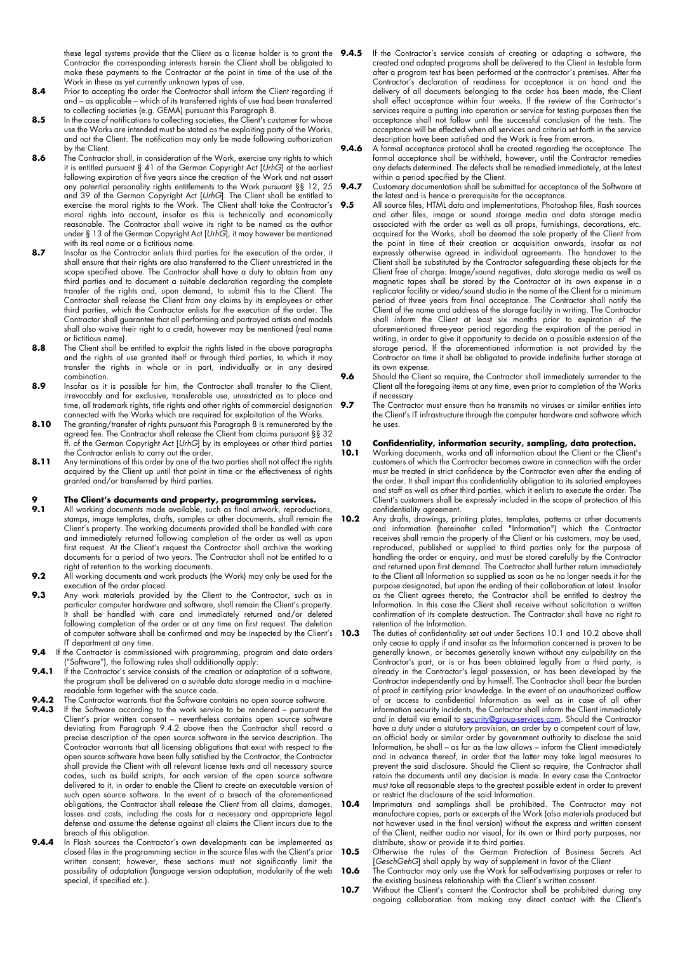Contractor the corresponding interests herein the Client shall be obligated to make these payments to the Contractor at the point in time of the use of the Work in these as yet currently unknown types of use.

- 8.4 Prior to accepting the order the Contractor shall inform the Client regarding if and – as applicable – which of its transferred rights of use had been transferred to collecting societies (e.g. GEMA) pursuant this Paragraph 8.
- **8.5** In the case of notifications to collecting societies, the Client's customer for whose use the Works are intended must be stated as the exploiting party of the Works, and not the Client. The notification may only be made following authorization by the Client.
- **8.6** The Contractor shall, in consideration of the Work, exercise any rights to which it is entitled pursuant § 41 of the German Copyright Act [*UrhG*] at the earliest following expiration of five years since the creation of the Work and not assert any potential personality rights entitlements to the Work pursuant §§ 12, 25 and 39 of the German Copyright Act [*UrhG*]. The Client shall be entitled to exercise the moral rights to the Work. The Client shall take the Contractor's moral rights into account, insofar as this is technically and economically reasonable. The Contractor shall waive its right to be named as the author under § 13 of the German Copyright Act [*UrhG*], it may however be mentioned with its real name or a fictitious name.
- 8.7 Insofar as the Contractor enlists third parties for the execution of the order, it shall ensure that their rights are also transferred to the Client unrestricted in the scope specified above. The Contractor shall have a duty to obtain from any third parties and to document a suitable declaration regarding the complete transfer of the rights and, upon demand, to submit this to the Client. The Contractor shall release the Client from any claims by its employees or other third parties, which the Contractor enlists for the execution of the order. The Contractor shall guarantee that all performing and portrayed artists and models shall also waive their right to a credit, however may be mentioned (real name or fictitious name).
- **8.8** The Client shall be entitled to exploit the rights listed in the above paragraphs and the rights of use granted itself or through third parties, to which it may transfer the rights in whole or in part, individually or in any desired combination.
- 8.9 Insofar as it is possible for him, the Contractor shall transfer to the Client, irrevocably and for exclusive, transferable use, unrestricted as to place and time, all trademark rights, title rights and other rights of commercial designation connected with the Works which are required for exploitation of the Works.
- **8.10** The granting/transfer of rights pursuant this Paragraph 8 is remunerated by the agreed fee. The Contractor shall release the Client from claims pursuant §§ 32 ff. of the German Copyright Act [*UrhG*] by its employees or other third parties the Contractor enlists to carry out the order.
- **8.11** Any terminations of this order by one of the two parties shall not affect the rights acquired by the Client up until that point in time or the effectiveness of rights granted and/or transferred by third parties.

## **9 The Client's documents and property, programming services.**<br>**9.1** All working documents made available, such as final artwork, reproducti

- **9.1** All working documents made available, such as final artwork, reproductions, stamps, image templates, drafts, samples or other documents, shall remain the Client's property. The working documents provided shall be handled with care and immediately returned following completion of the order as well as upon first request. At the Client's request the Contractor shall archive the working documents for a period of two years. The Contractor shall not be entitled to a right of retention to the working documents.
- **9.2** All working documents and work products (the Work) may only be used for the execution of the order placed.
- **9.3** Any work materials provided by the Client to the Contractor, such as in particular computer hardware and software, shall remain the Client's property. It shall be handled with care and immediately returned and/or deleted following completion of the order or at any time on first request. The deletion of computer software shall be confirmed and may be inspected by the Client's 10.3 IT department at any time.
- **9.4** If the Contractor is commissioned with programming, program and data orders ("Software"), the following rules shall additionally apply:
- **9.4.1** If the Contractor's service consists of the creation or adaptation of a software, the program shall be delivered on a suitable data storage media in a machinereadable form together with the source code.
- **9.4.2** The Contractor warrants that the Software contains no open source software.<br>**9.4.3** If the Software accordina to the work service to be rendered pursuant the
- **9.4.3** If the Software according to the work service to be rendered pursuant the Client's prior written consent – nevertheless contains open source software deviating from Paragraph 9.4.2 above then the Contractor shall record a precise description of the open source software in the service description. The Contractor warrants that all licensing obligations that exist with respect to the open source software have been fully satisfied by the Contractor, the Contractor shall provide the Client with all relevant license texts and all necessary source codes, such as build scripts, for each version of the open source software delivered to it, in order to enable the Client to create an executable version of such open source software. In the event of a breach of the aforementioned obligations, the Contractor shall release the Client from all claims, damages, losses and costs, including the costs for a necessary and appropriate legal defense and assume the defense against all claims the Client incurs due to the breach of this obligation.
- **9.4.4** In Flash sources the Contractor's own developments can be implemented as closed files in the programming section in the source files with the Client's prior written consent; however, these sections must not significantly limit the possibility of adaptation (language version adaptation, modularity of the web special, if specified etc.).
- these legal systems provide that the Client as a license holder is to grant the **9.4.5** If the Contractor's service consists of creating or adapting a software, the created and adapted programs shall be delivered to the Client in testable form after a program test has been performed at the contractor's premises. After the Contractor's declaration of readiness for acceptance is on hand and the delivery of all documents belonging to the order has been made, the Client shall effect acceptance within four weeks. If the review of the Contractor's services require a putting into operation or service for testing purposes then the acceptance shall not follow until the successful conclusion of the tests. The acceptance will be effected when all services and criteria set forth in the service description have been satisfied and the Work is free from errors.
	- **9.4.6** A formal acceptance protocol shall be created regarding the acceptance. The formal acceptance shall be withheld, however, until the Contractor remedies any defects determined. The defects shall be remedied immediately, at the latest within a period specified by the Client.
	- **9.4.7** Customary documentation shall be submitted for acceptance of the Software at the latest and is hence a prerequisite for the acceptance.
	- **9.5** All source files, HTML data and implementations, Photoshop files, flash sources and other files, image or sound storage media and data storage media associated with the order as well as all props, furnishings, decorations, etc. acquired for the Works, shall be deemed the sole property of the Client from the point in time of their creation or acquisition onwards, insofar as not expressly otherwise agreed in individual agreements. The handover to the Client shall be substituted by the Contractor safeguarding these objects for the Client free of charge. Image/sound negatives, data storage media as well as magnetic tapes shall be stored by the Contractor at its own expense in a replicator facility or video/sound studio in the name of the Client for a minimum period of three years from final acceptance. The Contractor shall notify the Client of the name and address of the storage facility in writing. The Contractor shall inform the Client at least six months prior to expiration of the aforementioned three-year period regarding the expiration of the period in writing, in order to give it opportunity to decide on a possible extension of the storage period. If the aforementioned information is not provided by the Contractor on time it shall be obligated to provide indefinite further storage at its own expense.
	- **9.6** Should the Client so require, the Contractor shall immediately surrender to the Client all the foregoing items at any time, even prior to completion of the Works if necessary.
	- **9.7** The Contractor must ensure than he transmits no viruses or similar entities into the Client's IT infrastructure through the computer hardware and software which he uses.

## **10 Confidentiality, information security, sampling, data protection.**<br>**10.1** Working documents, works and all information about the Client or the Client'

- Working documents, works and all information about the Client or the Client's customers of which the Contractor becomes aware in connection with the order must be treated in strict confidence by the Contractor even after the ending of the order. It shall impart this confidentiality obligation to its salaried employees and staff as well as other third parties, which it enlists to execute the order. The Client's customers shall be expressly included in the scope of protection of this confidentiality agreement.
- **10.2** Any drafts, drawings, printing plates, templates, patterns or other documents and information (hereinafter called "Information") which the Contractor receives shall remain the property of the Client or his customers, may be used, reproduced, published or supplied to third parties only for the purpose of handling the order or enquiry, and must be stored carefully by the Contractor and returned upon first demand. The Contractor shall further return immediately to the Client all Information so supplied as soon as he no longer needs it for the purpose designated, but upon the ending of their collaboration at latest. Insofar as the Client agrees thereto, the Contractor shall be entitled to destroy the Information. In this case the Client shall receive without solicitation a written confirmation of its complete destruction. The Contractor shall have no right to retention of the Information.
	- **10.3** The duties of confidentiality set out under Sections 10.1 and 10.2 above shall only cease to apply if and insofar as the Information concerned is proven to be generally known, or becomes generally known without any culpability on the Contractor's part, or is or has been obtained legally from a third party, is already in the Contractor's legal possession, or has been developed by the Contractor independently and by himself. The Contractor shall bear the burden of proof in certifying prior knowledge. In the event of an unauthorized outflow of or access to confidential Information as well as in case of all other information security incidents, the Contactor shall inform the Client immediately and in detail via email to security@group-services.com. Should the Contractor have a duty under a statutory provision, an order by a competent court of law, an official body or similar order by government authority to disclose the said Information, he shall – as far as the law allows – inform the Client immediately and in advance thereof, in order that the latter may take legal measures to prevent the said disclosure. Should the Client so require, the Contractor shall retain the documents until any decision is made. In every case the Contractor must take all reasonable steps to the greatest possible extent in order to prevent or restrict the disclosure of the said Information.
- **10.4** Imprimaturs and samplings shall be prohibited. The Contractor may not manufacture copies, parts or excerpts of the Work (also materials produced but not however used in the final version) without the express and written consent of the Client, neither audio nor visual, for its own or third party purposes, nor distribute, show or provide it to third parties.
- **10.5** Otherwise the rules of the German Protection of Business Secrets Act [*GeschGehG*] shall apply by way of supplement in favor of the Client
- **10.6** The Contractor may only use the Work for self-advertising purposes or refer to the existing business relationship with the Client's written consent.
- **10.7** Without the Client's consent the Contractor shall be prohibited during any ongoing collaboration from making any direct contact with the Client's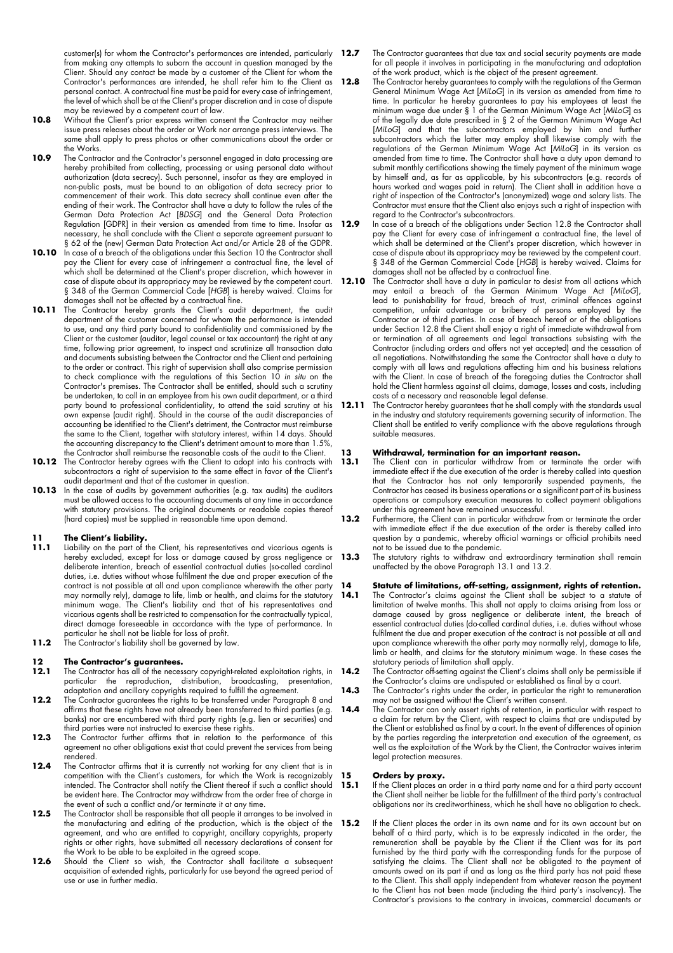customer(s) for whom the Contractor's performances are intended, particularly 12.7 from making any attempts to suborn the account in question managed by the Client. Should any contact be made by a customer of the Client for whom the Contractor's performances are intended, he shall refer him to the Client as 12.8 personal contact. A contractual fine must be paid for every case of infringement, the level of which shall be at the Client's proper discretion and in case of dispute may be reviewed by a competent court of law.

- 10.8 Without the Client's prior express written consent the Contractor may neither issue press releases about the order or Work nor arrange press interviews. The same shall apply to press photos or other communications about the order or the Works.
- **10.9** The Contractor and the Contractor's personnel engaged in data processing are hereby prohibited from collecting, processing or using personal data without authorization (data secrecy). Such personnel, insofar as they are employed in non-public posts, must be bound to an obligation of data secrecy prior to commencement of their work. This data secrecy shall continue even after the ending of their work. The Contractor shall have  $\alpha$  duty to follow the rules of the German Data Protection Act [*BDSG*] and the General Data Protection Regulation [GDPR] in their version as amended from time to time. Insofar as necessary, he shall conclude with the Client a separate agreement pursuant to § 62 of the (new) German Data Protection Act and/or Article 28 of the GDPR.
- **10.10** In case of a breach of the obligations under this Section 10 the Contractor shall pay the Client for every case of infringement a contractual fine, the level of which shall be determined at the Client's proper discretion, which however in case of dispute about its appropriacy may be reviewed by the competent court. § 348 of the German Commercial Code [*HGB*] is hereby waived. Claims for damages shall not be affected by a contractual fine.
- 10.11 The Contractor hereby grants the Client's audit department, the audit department of the customer concerned for whom the performance is intended to use, and any third party bound to confidentiality and commissioned by the Client or the customer (auditor, legal counsel or tax accountant) the right at any time, following prior agreement, to inspect and scrutinize all transaction data and documents subsisting between the Contractor and the Client and pertaining to the order or contract. This right of supervision shall also comprise permission to check compliance with the regulations of this Section 10 *in situ* on the Contractor's premises. The Contractor shall be entitled, should such a scrutiny be undertaken, to call in an employee from his own audit department, or a third party bound to professional confidentiality, to attend the said scrutiny at his own expense (audit right). Should in the course of the audit discrepancies of accounting be identified to the Client's detriment, the Contractor must reimburse the same to the Client, together with statutory interest, within 14 days. Should the accounting discrepancy to the Client's detriment amount to more than 1.5%, the Contractor shall reimburse the reasonable costs of the audit to the Client.
- 10.12 The Contractor hereby agrees with the Client to adopt into his contracts with subcontractors a right of supervision to the same effect in favor of the Client's audit department and that of the customer in question.
- 10.13 In the case of audits by government authorities (e.g. tax audits) the auditors must be allowed access to the accounting documents at any time in accordance with statutory provisions. The original documents or readable copies thereof (hard copies) must be supplied in reasonable time upon demand.

#### **11 The Client's liability.**

- **11.1** Liability on the part of the Client, his representatives and vicarious agents is hereby excluded, except for loss or damage caused by gross negligence or deliberate intention, breach of essential contractual duties (so-called cardinal duties, i.e. duties without whose fulfilment the due and proper execution of the contract is not possible at all and upon compliance wherewith the other party may normally rely), damage to life, limb or health, and claims for the statutory minimum wage. The Client's liability and that of his representatives and vicarious agents shall be restricted to compensation for the contractually typical, direct damage foreseeable in accordance with the type of performance. In particular he shall not be liable for loss of profit.
- **11.2** The Contractor's liability shall be governed by law.

# **12 The Contractor's guarantees.**<br>**12.1** The Contractor has all of the neces

- **112.1** The Contractor has all of the necessary copyright-related exploitation rights, in **14.2** particular the reproduction, distribution, broadcasting, presentation, adaptation and ancillary copyrights required to fulfill the agreement.
- **12.2 The Contractor guarantees the rights to be transferred under Paragraph 8 and** affirms that these rights have not already been transferred to third parties (e.g. banks) nor are encumbered with third party rights (e.g. lien or securities) and third parties were not instructed to exercise these rights.
- **12.3** The Contractor further affirms that in relation to the performance of this agreement no other obligations exist that could prevent the services from being rendered.
- **12.4** The Contractor affirms that it is currently not working for any client that is in competition with the Client's customers, for which the Work is recognizably intended. The Contractor shall notify the Client thereof if such a conflict should be evident here. The Contractor may withdraw from the order free of charge in the event of such a conflict and/or terminate it at any time.
- **12.5** The Contractor shall be responsible that all people it arranges to be involved in the manufacturing and editing of the production, which is the object of the agreement, and who are entitled to copyright, ancillary copyrights, property rights or other rights, have submitted all necessary declarations of consent for the Work to be able to be exploited in the agreed scope.
- 12.6 Should the Client so wish, the Contractor shall facilitate a subsequent acquisition of extended rights, particularly for use beyond the agreed period of use or use in further media.
- **12.7** The Contractor guarantees that due tax and social security payments are made for all people it involves in participating in the manufacturing and adaptation of the work product, which is the object of the present agreement.
- **12.8** The Contractor hereby guarantees to comply with the regulations of the German General Minimum Wage Act [MiloG] in its version as amended from time to time. In particular he hereby guarantees to pay his employees at least the minimum wage due under § 1 of the German Minimum Wage Act [*MiLoG*] as of the legally due date prescribed in § 2 of the German Minimum Wage Act [*MiLoG*] and that the subcontractors employed by him and further subcontractors which the latter may employ shall likewise comply with the regulations of the German Minimum Wage Act [*MiLoG*] in its version as amended from time to time. The Contractor shall have a duty upon demand to submit monthly certifications showing the timely payment of the minimum wage by himself and, as far as applicable, by his subcontractors (e.g. records of hours worked and wages paid in return). The Client shall in addition have a right of inspection of the Contractor's (anonymized) wage and salary lists. The Contractor must ensure that the Client also enjoys such a right of inspection with regard to the Contractor's subcontractors.
- 12.9 In case of a breach of the obligations under Section 12.8 the Contractor shall pay the Client for every case of infringement a contractual fine, the level of which shall be determined at the Client's proper discretion, which however in case of dispute about its appropriacy may be reviewed by the competent court. § 348 of the German Commercial Code [*HGB*] is hereby waived. Claims for damages shall not be affected by a contractual fine.
- **12.10** The Contractor shall have a duty in particular to desist from all actions which may entail a breach of the German Minimum Wage Act [*MiLoG*], lead to punishability for fraud, breach of trust, criminal offences against competition, unfair advantage or bribery of persons employed by the Contractor or of third parties. In case of breach hereof or of the obligations under Section 12.8 the Client shall enjoy a right of immediate withdrawal from or termination of all agreements and legal transactions subsisting with the Contractor (including orders and offers not yet accepted) and the cessation of all negotiations. Notwithstanding the same the Contractor shall have a duty to comply with all laws and regulations affecting him and his business relations with the Client. In case of breach of the foregoing duties the Contractor shall hold the Client harmless against all claims, damage, losses and costs, including costs of a necessary and reasonable legal defense.
- **12.11** The Contractor hereby guarantees that he shall comply with the standards usual in the industry and statutory requirements governing security of information. The Client shall be entitled to verify compliance with the above regulations through suitable measures.

# 13 **Withdrawal, termination for an important reason.**<br>13.1 The Client can in particular withdraw from or terminate

- **13.1** The Client can in particular withdraw from or terminate the order with immediate effect if the due execution of the order is thereby called into question that the Contractor has not only temporarily suspended payments, the Contractor has ceased its business operations or a significant part of its business operations or compulsory execution measures to collect payment obligations under this agreement have remained unsuccessful.
- **13.2** Furthermore, the Client can in particular withdraw from or terminate the order with immediate effect if the due execution of the order is thereby called into question by a pandemic, whereby official warnings or official prohibits need not to be issued due to the pandemic.
- **13.3** The statutory rights to withdraw and extraordinary termination shall remain unaffected by the above Paragraph 13.1 and 13.2.

### **14 Statute of limitations, off-setting, assignment, rights of retention.**

- **14.1** The Contractor's claims against the Client shall be subject to a statute of limitation of twelve months. This shall not apply to claims arising from loss or damage caused by gross negligence or deliberate intent, the breach of essential contractual duties (do-called cardinal duties, i.e. duties without whose fulfilment the due and proper execution of the contract is not possible at all and upon compliance wherewith the other party may normally rely), damage to life, limb or health, and claims for the statutory minimum wage. In these cases the statutory periods of limitation shall apply.
- **14.2** The Contractor off-setting against the Client's claims shall only be permissible if the Contractor's claims are undisputed or established as final by a court.
- 14.3 The Contractor's rights under the order, in particular the right to remuneration may not be assigned without the Client's written consent.
- 14.4 The Contractor can only assert rights of retention, in particular with respect to a claim for return by the Client, with respect to claims that are undisputed by the Client or established as final by a court. In the event of differences of opinion by the parties regarding the interpretation and execution of the agreement, as well as the exploitation of the Work by the Client, the Contractor waives interim legal protection measures.

# **15. Orders by proxy.**<br>**15.1** If the Client places an

- **15.1** If the Client places an order in a third party name and for a third party account the Client shall neither be liable for the fulfillment of the third party's contractual obligations nor its creditworthiness, which he shall have no obligation to check.
- **15.2** If the Client places the order in its own name and for its own account but on behalf of a third party, which is to be expressly indicated in the order, the remuneration shall be payable by the Client if the Client was for its part furnished by the third party with the corresponding funds for the purpose of satisfying the claims. The Client shall not be obligated to the payment of amounts owed on its part if and as long as the third party has not paid these to the Client. This shall apply independent from whatever reason the payment to the Client has not been made (including the third party's insolvency). The Contractor's provisions to the contrary in invoices, commercial documents or